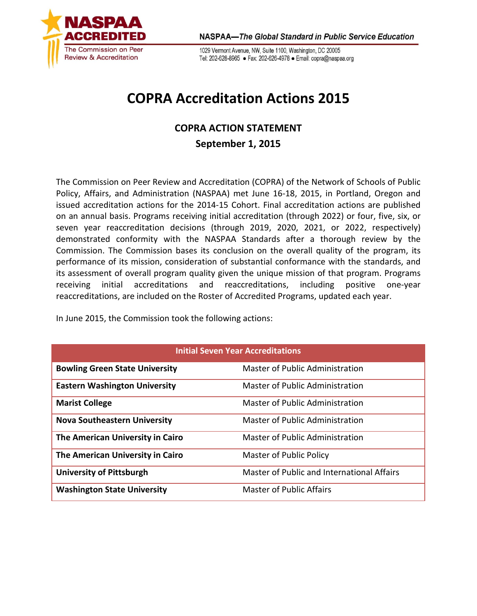

1029 Vermont Avenue, NW, Suite 1100, Washington, DC 20005 Tel: 202-628-8965 · Fax: 202-626-4978 · Email: copra@naspaa.org

## **COPRA Accreditation Actions 2015**

## **COPRA ACTION STATEMENT September 1, 2015**

The Commission on Peer Review and Accreditation (COPRA) of the Network of Schools of Public Policy, Affairs, and Administration (NASPAA) met June 16-18, 2015, in Portland, Oregon and issued accreditation actions for the 2014-15 Cohort. Final accreditation actions are published on an annual basis. Programs receiving initial accreditation (through 2022) or four, five, six, or seven year reaccreditation decisions (through 2019, 2020, 2021, or 2022, respectively) demonstrated conformity with the NASPAA Standards after a thorough review by the Commission. The Commission bases its conclusion on the overall quality of the program, its performance of its mission, consideration of substantial conformance with the standards, and its assessment of overall program quality given the unique mission of that program. Programs receiving initial accreditations and reaccreditations, including positive one-year reaccreditations, are included on the Roster of Accredited Programs, updated each year.

In June 2015, the Commission took the following actions:

| <b>Initial Seven Year Accreditations</b> |                                            |  |
|------------------------------------------|--------------------------------------------|--|
| <b>Bowling Green State University</b>    | Master of Public Administration            |  |
| <b>Eastern Washington University</b>     | Master of Public Administration            |  |
| <b>Marist College</b>                    | Master of Public Administration            |  |
| <b>Nova Southeastern University</b>      | <b>Master of Public Administration</b>     |  |
| The American University in Cairo         | <b>Master of Public Administration</b>     |  |
| The American University in Cairo         | Master of Public Policy                    |  |
| <b>University of Pittsburgh</b>          | Master of Public and International Affairs |  |
| <b>Washington State University</b>       | <b>Master of Public Affairs</b>            |  |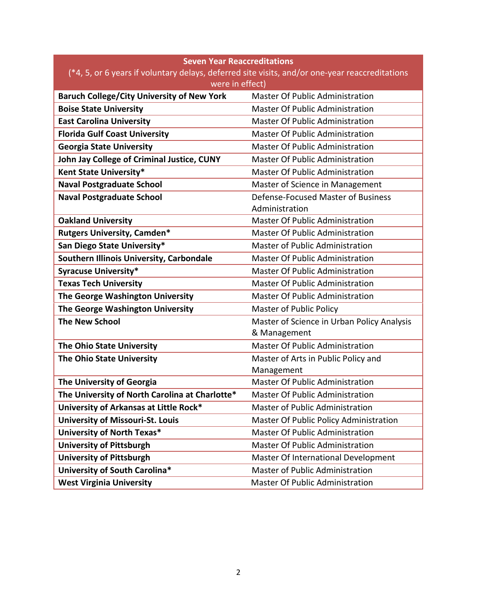| <b>Seven Year Reaccreditations</b>                                                             |                                            |  |
|------------------------------------------------------------------------------------------------|--------------------------------------------|--|
| (*4, 5, or 6 years if voluntary delays, deferred site visits, and/or one-year reaccreditations |                                            |  |
| were in effect)                                                                                |                                            |  |
| <b>Baruch College/City University of New York</b>                                              | Master Of Public Administration            |  |
| <b>Boise State University</b>                                                                  | <b>Master Of Public Administration</b>     |  |
| <b>East Carolina University</b>                                                                | <b>Master Of Public Administration</b>     |  |
| <b>Florida Gulf Coast University</b>                                                           | <b>Master Of Public Administration</b>     |  |
| <b>Georgia State University</b>                                                                | <b>Master Of Public Administration</b>     |  |
| John Jay College of Criminal Justice, CUNY                                                     | <b>Master Of Public Administration</b>     |  |
| Kent State University*                                                                         | <b>Master Of Public Administration</b>     |  |
| <b>Naval Postgraduate School</b>                                                               | Master of Science in Management            |  |
| <b>Naval Postgraduate School</b>                                                               | Defense-Focused Master of Business         |  |
|                                                                                                | Administration                             |  |
| <b>Oakland University</b>                                                                      | <b>Master Of Public Administration</b>     |  |
| <b>Rutgers University, Camden*</b>                                                             | <b>Master Of Public Administration</b>     |  |
| San Diego State University*                                                                    | Master of Public Administration            |  |
| Southern Illinois University, Carbondale                                                       | <b>Master Of Public Administration</b>     |  |
| <b>Syracuse University*</b>                                                                    | <b>Master Of Public Administration</b>     |  |
| <b>Texas Tech University</b>                                                                   | Master Of Public Administration            |  |
| The George Washington University                                                               | <b>Master Of Public Administration</b>     |  |
| The George Washington University                                                               | <b>Master of Public Policy</b>             |  |
| <b>The New School</b>                                                                          | Master of Science in Urban Policy Analysis |  |
|                                                                                                | & Management                               |  |
| The Ohio State University                                                                      | <b>Master Of Public Administration</b>     |  |
| The Ohio State University                                                                      | Master of Arts in Public Policy and        |  |
|                                                                                                | Management                                 |  |
| The University of Georgia                                                                      | Master Of Public Administration            |  |
| The University of North Carolina at Charlotte*                                                 | <b>Master Of Public Administration</b>     |  |
| University of Arkansas at Little Rock*                                                         | Master of Public Administration            |  |
| <b>University of Missouri-St. Louis</b>                                                        | Master Of Public Policy Administration     |  |
| University of North Texas*                                                                     | Master Of Public Administration            |  |
| <b>University of Pittsburgh</b>                                                                | <b>Master Of Public Administration</b>     |  |
| <b>University of Pittsburgh</b>                                                                | Master Of International Development        |  |
| University of South Carolina*                                                                  | Master of Public Administration            |  |
| <b>West Virginia University</b>                                                                | Master Of Public Administration            |  |